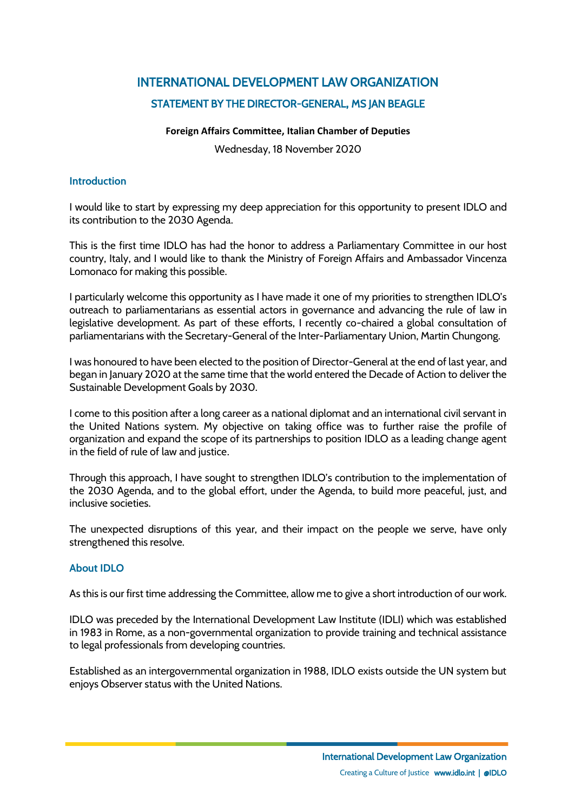# INTERNATIONAL DEVELOPMENT LAW ORGANIZATION STATEMENT BY THE DIRECTOR-GENERAL, MS JAN BEAGLE

# **Foreign Affairs Committee, Italian Chamber of Deputies**

Wednesday, 18 November 2020

# **Introduction**

I would like to start by expressing my deep appreciation for this opportunity to present IDLO and its contribution to the 2030 Agenda.

This is the first time IDLO has had the honor to address a Parliamentary Committee in our host country, Italy, and I would like to thank the Ministry of Foreign Affairs and Ambassador Vincenza Lomonaco for making this possible.

I particularly welcome this opportunity as I have made it one of my priorities to strengthen IDLO's outreach to parliamentarians as essential actors in governance and advancing the rule of law in legislative development. As part of these efforts, I recently co-chaired a global consultation of parliamentarians with the Secretary-General of the Inter-Parliamentary Union, Martin Chungong.

I was honoured to have been elected to the position of Director-General at the end of last year, and began in January 2020 at the same time that the world entered the Decade of Action to deliver the Sustainable Development Goals by 2030.

I come to this position after a long career as a national diplomat and an international civil servant in the United Nations system. My objective on taking office was to further raise the profile of organization and expand the scope of its partnerships to position IDLO as a leading change agent in the field of rule of law and justice.

Through this approach, I have sought to strengthen IDLO's contribution to the implementation of the 2030 Agenda, and to the global effort, under the Agenda, to build more peaceful, just, and inclusive societies.

The unexpected disruptions of this year, and their impact on the people we serve, have only strengthened this resolve.

# **About IDLO**

As this is our first time addressing the Committee, allow me to give a short introduction of our work.

IDLO was preceded by the International Development Law Institute (IDLI) which was established in 1983 in Rome, as a non-governmental organization to provide training and technical assistance to legal professionals from developing countries.

Established as an intergovernmental organization in 1988, IDLO exists outside the UN system but enjoys Observer status with the United Nations.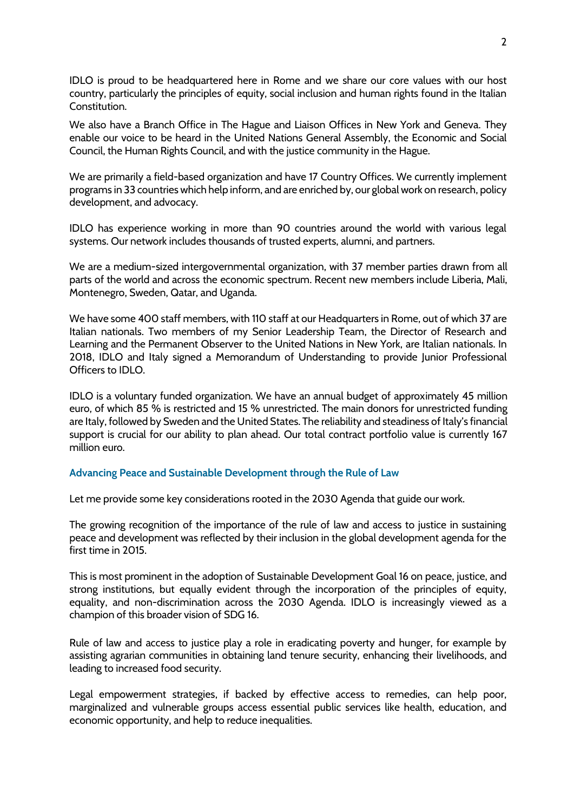IDLO is proud to be headquartered here in Rome and we share our core values with our host country, particularly the principles of equity, social inclusion and human rights found in the Italian Constitution.

We also have a Branch Office in The Hague and Liaison Offices in New York and Geneva. They enable our voice to be heard in the United Nations General Assembly, the Economic and Social Council, the Human Rights Council, and with the justice community in the Hague.

We are primarily a field-based organization and have 17 Country Offices. We currently implement programs in 33 countries which help inform, and are enriched by, our global work on research, policy development, and advocacy.

IDLO has experience working in more than 90 countries around the world with various legal systems. Our network includes thousands of trusted experts, alumni, and partners.

We are a medium-sized intergovernmental organization, with 37 member parties drawn from all parts of the world and across the economic spectrum. Recent new members include Liberia, Mali, Montenegro, Sweden, Qatar, and Uganda.

We have some 400 staff members, with 110 staff at our Headquarters in Rome, out of which 37 are Italian nationals. Two members of my Senior Leadership Team, the Director of Research and Learning and the Permanent Observer to the United Nations in New York, are Italian nationals. In 2018, IDLO and Italy signed a Memorandum of Understanding to provide Junior Professional Officers to IDLO.

IDLO is a voluntary funded organization. We have an annual budget of approximately 45 million euro, of which 85 % is restricted and 15 % unrestricted. The main donors for unrestricted funding are Italy, followed by Sweden and the United States. The reliability and steadiness of Italy's financial support is crucial for our ability to plan ahead. Our total contract portfolio value is currently 167 million euro.

## **Advancing Peace and Sustainable Development through the Rule of Law**

Let me provide some key considerations rooted in the 2030 Agenda that guide our work.

The growing recognition of the importance of the rule of law and access to justice in sustaining peace and development was reflected by their inclusion in the global development agenda for the first time in 2015.

This is most prominent in the adoption of Sustainable Development Goal 16 on peace, justice, and strong institutions, but equally evident through the incorporation of the principles of equity, equality, and non-discrimination across the 2030 Agenda. IDLO is increasingly viewed as a champion of this broader vision of SDG 16.

Rule of law and access to justice play a role in eradicating poverty and hunger, for example by assisting agrarian communities in obtaining land tenure security, enhancing their livelihoods, and leading to increased food security.

Legal empowerment strategies, if backed by effective access to remedies, can help poor, marginalized and vulnerable groups access essential public services like health, education, and economic opportunity, and help to reduce inequalities.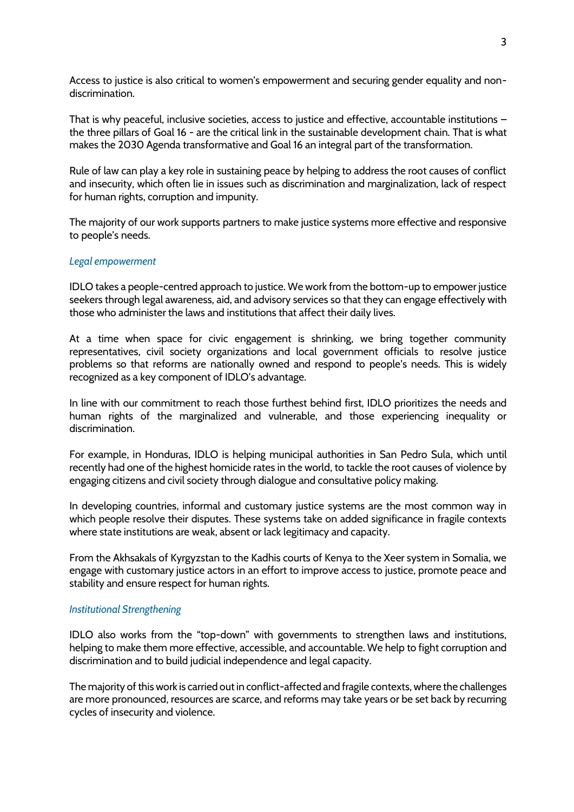Access to justice is also critical to women's empowerment and securing gender equality and nondiscrimination.

That is why peaceful, inclusive societies, access to justice and effective, accountable institutions – the three pillars of Goal 16 - are the critical link in the sustainable development chain. That is what makes the 2030 Agenda transformative and Goal 16 an integral part of the transformation.

Rule of law can play a key role in sustaining peace by helping to address the root causes of conflict and insecurity, which often lie in issues such as discrimination and marginalization, lack of respect for human rights, corruption and impunity.

The majority of our work supports partners to make justice systems more effective and responsive to people's needs.

## *Legal empowerment*

IDLO takes a people-centred approach to justice. We work from the bottom-up to empower justice seekers through legal awareness, aid, and advisory services so that they can engage effectively with those who administer the laws and institutions that affect their daily lives.

At a time when space for civic engagement is shrinking, we bring together community representatives, civil society organizations and local government officials to resolve justice problems so that reforms are nationally owned and respond to people's needs. This is widely recognized as a key component of IDLO's advantage.

In line with our commitment to reach those furthest behind first, IDLO prioritizes the needs and human rights of the marginalized and vulnerable, and those experiencing inequality or discrimination.

For example, in Honduras, IDLO is helping municipal authorities in San Pedro Sula, which until recently had one of the highest homicide rates in the world, to tackle the root causes of violence by engaging citizens and civil society through dialogue and consultative policy making.

In developing countries, informal and customary justice systems are the most common way in which people resolve their disputes. These systems take on added significance in fragile contexts where state institutions are weak, absent or lack legitimacy and capacity.

From the Akhsakals of Kyrgyzstan to the Kadhis courts of Kenya to the Xeer system in Somalia, we engage with customary justice actors in an effort to improve access to justice, promote peace and stability and ensure respect for human rights.

## *Institutional Strengthening*

IDLO also works from the "top-down" with governments to strengthen laws and institutions, helping to make them more effective, accessible, and accountable. We help to fight corruption and discrimination and to build judicial independence and legal capacity.

The majority of this work is carried out in conflict-affected and fragile contexts, where the challenges are more pronounced, resources are scarce, and reforms may take years or be set back by recurring cycles of insecurity and violence.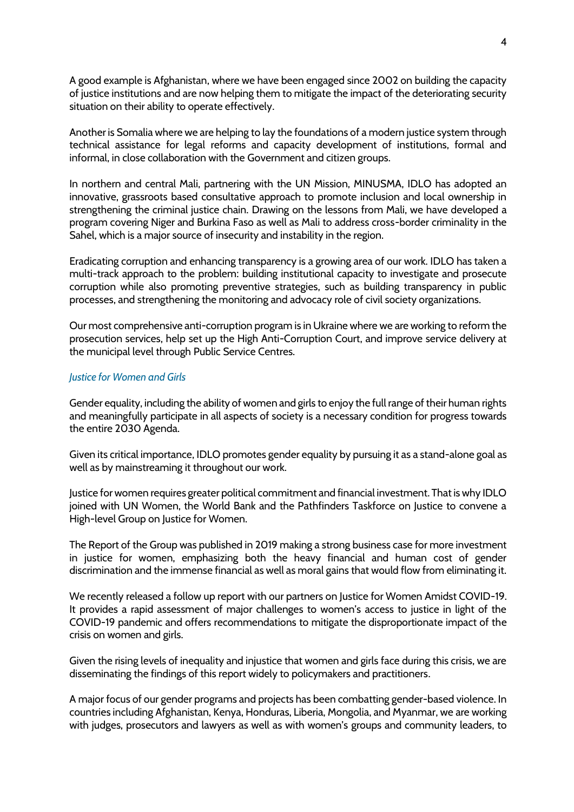A good example is Afghanistan, where we have been engaged since 2002 on building the capacity of justice institutions and are now helping them to mitigate the impact of the deteriorating security situation on their ability to operate effectively.

Another is Somalia where we are helping to lay the foundations of a modern justice system through technical assistance for legal reforms and capacity development of institutions, formal and informal, in close collaboration with the Government and citizen groups.

In northern and central Mali, partnering with the UN Mission, MINUSMA, IDLO has adopted an innovative, grassroots based consultative approach to promote inclusion and local ownership in strengthening the criminal justice chain. Drawing on the lessons from Mali, we have developed a program covering Niger and Burkina Faso as well as Mali to address cross-border criminality in the Sahel, which is a major source of insecurity and instability in the region.

Eradicating corruption and enhancing transparency is a growing area of our work. IDLO has taken a multi-track approach to the problem: building institutional capacity to investigate and prosecute corruption while also promoting preventive strategies, such as building transparency in public processes, and strengthening the monitoring and advocacy role of civil society organizations.

Our most comprehensive anti-corruption program is in Ukraine where we are working to reform the prosecution services, help set up the High Anti-Corruption Court, and improve service delivery at the municipal level through Public Service Centres.

# *Justice for Women and Girls*

Gender equality, including the ability of women and girls to enjoy the full range of their human rights and meaningfully participate in all aspects of society is a necessary condition for progress towards the entire 2030 Agenda.

Given its critical importance, IDLO promotes gender equality by pursuing it as a stand-alone goal as well as by mainstreaming it throughout our work.

Justice for women requires greater political commitment and financial investment. That is why IDLO joined with UN Women, the World Bank and the Pathfinders Taskforce on Justice to convene a High-level Group on Justice for Women.

The Report of the Group was published in 2019 making a strong business case for more investment in justice for women, emphasizing both the heavy financial and human cost of gender discrimination and the immense financial as well as moral gains that would flow from eliminating it.

We recently released a follow up report with our partners on Justice for Women Amidst COVID-19. It provides a rapid assessment of major challenges to women's access to justice in light of the COVID-19 pandemic and offers recommendations to mitigate the disproportionate impact of the crisis on women and girls.

Given the rising levels of inequality and injustice that women and girls face during this crisis, we are disseminating the findings of this report widely to policymakers and practitioners.

A major focus of our gender programs and projects has been combatting gender-based violence. In countries including Afghanistan, Kenya, Honduras, Liberia, Mongolia, and Myanmar, we are working with judges, prosecutors and lawyers as well as with women's groups and community leaders, to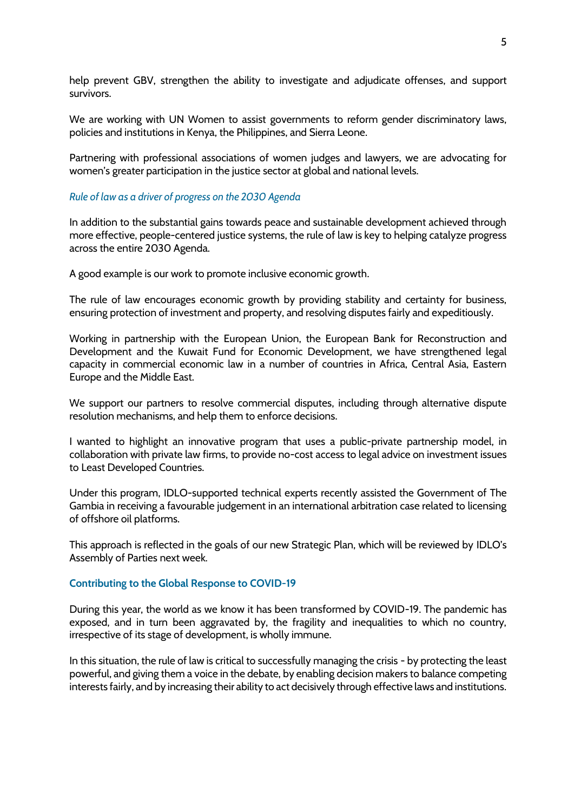help prevent GBV, strengthen the ability to investigate and adjudicate offenses, and support survivors.

We are working with UN Women to assist governments to reform gender discriminatory laws, policies and institutions in Kenya, the Philippines, and Sierra Leone.

Partnering with professional associations of women judges and lawyers, we are advocating for women's greater participation in the justice sector at global and national levels.

## *Rule of law as a driver of progress on the 2030 Agenda*

In addition to the substantial gains towards peace and sustainable development achieved through more effective, people-centered justice systems, the rule of law is key to helping catalyze progress across the entire 2030 Agenda.

A good example is our work to promote inclusive economic growth.

The rule of law encourages economic growth by providing stability and certainty for business, ensuring protection of investment and property, and resolving disputes fairly and expeditiously.

Working in partnership with the European Union, the European Bank for Reconstruction and Development and the Kuwait Fund for Economic Development, we have strengthened legal capacity in commercial economic law in a number of countries in Africa, Central Asia, Eastern Europe and the Middle East.

We support our partners to resolve commercial disputes, including through alternative dispute resolution mechanisms, and help them to enforce decisions.

I wanted to highlight an innovative program that uses a public-private partnership model, in collaboration with private law firms, to provide no-cost access to legal advice on investment issues to Least Developed Countries.

Under this program, IDLO-supported technical experts recently assisted the Government of The Gambia in receiving a favourable judgement in an international arbitration case related to licensing of offshore oil platforms.

This approach is reflected in the goals of our new Strategic Plan, which will be reviewed by IDLO's Assembly of Parties next week.

## **Contributing to the Global Response to COVID-19**

During this year, the world as we know it has been transformed by COVID-19. The pandemic has exposed, and in turn been aggravated by, the fragility and inequalities to which no country, irrespective of its stage of development, is wholly immune.

In this situation, the rule of law is critical to successfully managing the crisis - by protecting the least powerful, and giving them a voice in the debate, by enabling decision makers to balance competing interests fairly, and by increasing their ability to act decisively through effective laws and institutions.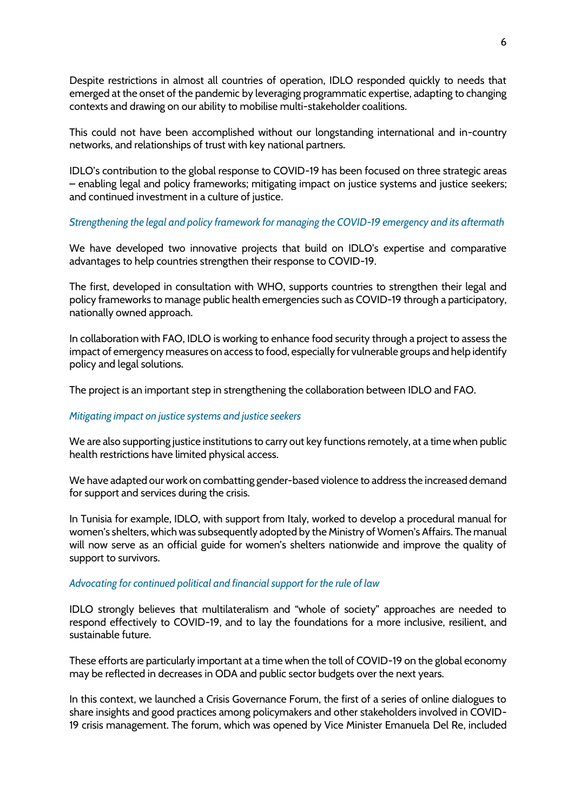Despite restrictions in almost all countries of operation, IDLO responded quickly to needs that emerged at the onset of the pandemic by leveraging programmatic expertise, adapting to changing contexts and drawing on our ability to mobilise multi-stakeholder coalitions.

This could not have been accomplished without our longstanding international and in-country networks, and relationships of trust with key national partners.

IDLO's contribution to the global response to COVID-19 has been focused on three strategic areas – enabling legal and policy frameworks; mitigating impact on justice systems and justice seekers; and continued investment in a culture of justice.

# *Strengthening the legal and policy framework for managing the COVID-19 emergency and its aftermath*

We have developed two innovative projects that build on IDLO's expertise and comparative advantages to help countries strengthen their response to COVID-19.

The first, developed in consultation with WHO, supports countries to strengthen their legal and policy frameworks to manage public health emergencies such as COVID-19 through a participatory, nationally owned approach.

In collaboration with FAO, IDLO is working to enhance food security through a project to assess the impact of emergency measures on access to food, especially for vulnerable groups and help identify policy and legal solutions.

The project is an important step in strengthening the collaboration between IDLO and FAO.

## *Mitigating impact on justice systems and justice seekers*

We are also supporting justice institutions to carry out key functions remotely, at a time when public health restrictions have limited physical access.

We have adapted our work on combatting gender-based violence to address the increased demand for support and services during the crisis.

In Tunisia for example, IDLO, with support from Italy, worked to develop a procedural manual for women's shelters, which was subsequently adopted by the Ministry of Women's Affairs. The manual will now serve as an official guide for women's shelters nationwide and improve the quality of support to survivors.

## *Advocating for continued political and financial support for the rule of law*

IDLO strongly believes that multilateralism and "whole of society" approaches are needed to respond effectively to COVID-19, and to lay the foundations for a more inclusive, resilient, and sustainable future.

These efforts are particularly important at a time when the toll of COVID-19 on the global economy may be reflected in decreases in ODA and public sector budgets over the next years.

In this context, we launched a Crisis Governance Forum, the first of a series of online dialogues to share insights and good practices among policymakers and other stakeholders involved in COVID-19 crisis management. The forum, which was opened by Vice Minister Emanuela Del Re, included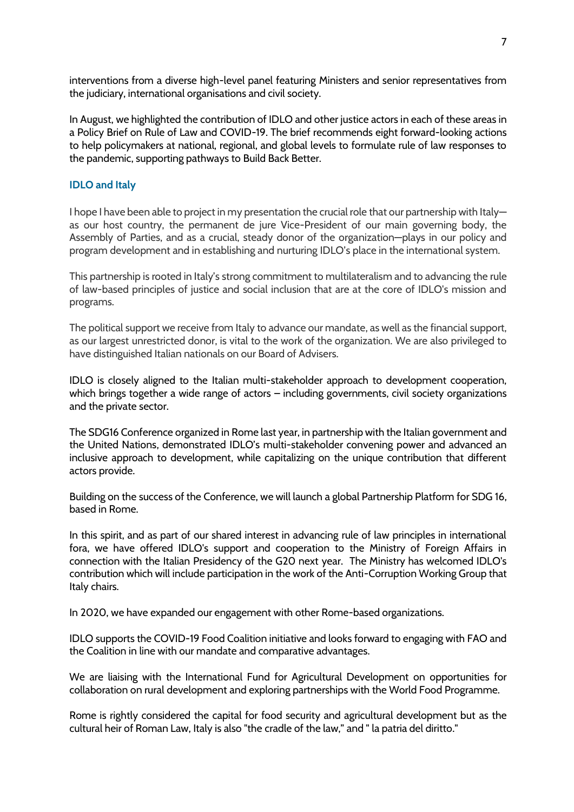interventions from a diverse high-level panel featuring Ministers and senior representatives from the judiciary, international organisations and civil society.

In August, we highlighted the contribution of IDLO and other justice actors in each of these areas in a Policy Brief on Rule of Law and COVID-19. The brief recommends eight forward-looking actions to help policymakers at national, regional, and global levels to formulate rule of law responses to the pandemic, supporting pathways to Build Back Better.

# **IDLO and Italy**

I hope I have been able to project in my presentation the crucial role that our partnership with Italy as our host country, the permanent de jure Vice-President of our main governing body, the Assembly of Parties, and as a crucial, steady donor of the organization—plays in our policy and program development and in establishing and nurturing IDLO's place in the international system.

This partnership is rooted in Italy's strong commitment to multilateralism and to advancing the rule of law-based principles of justice and social inclusion that are at the core of IDLO's mission and programs.

The political support we receive from Italy to advance our mandate, as well as the financial support, as our largest unrestricted donor, is vital to the work of the organization. We are also privileged to have distinguished Italian nationals on our Board of Advisers.

IDLO is closely aligned to the Italian multi-stakeholder approach to development cooperation, which brings together a wide range of actors – including governments, civil society organizations and the private sector.

The SDG16 Conference organized in Rome last year, in partnership with the Italian government and the United Nations, demonstrated IDLO's multi-stakeholder convening power and advanced an inclusive approach to development, while capitalizing on the unique contribution that different actors provide.

Building on the success of the Conference, we will launch a global Partnership Platform for SDG 16, based in Rome.

In this spirit, and as part of our shared interest in advancing rule of law principles in international fora, we have offered IDLO's support and cooperation to the Ministry of Foreign Affairs in connection with the Italian Presidency of the G20 next year. The Ministry has welcomed IDLO's contribution which will include participation in the work of the Anti-Corruption Working Group that Italy chairs.

In 2020, we have expanded our engagement with other Rome-based organizations.

IDLO supports the COVID-19 Food Coalition initiative and looks forward to engaging with FAO and the Coalition in line with our mandate and comparative advantages.

We are liaising with the International Fund for Agricultural Development on opportunities for collaboration on rural development and exploring partnerships with the World Food Programme.

Rome is rightly considered the capital for food security and agricultural development but as the cultural heir of Roman Law, Italy is also "the cradle of the law," and " la patria del diritto."